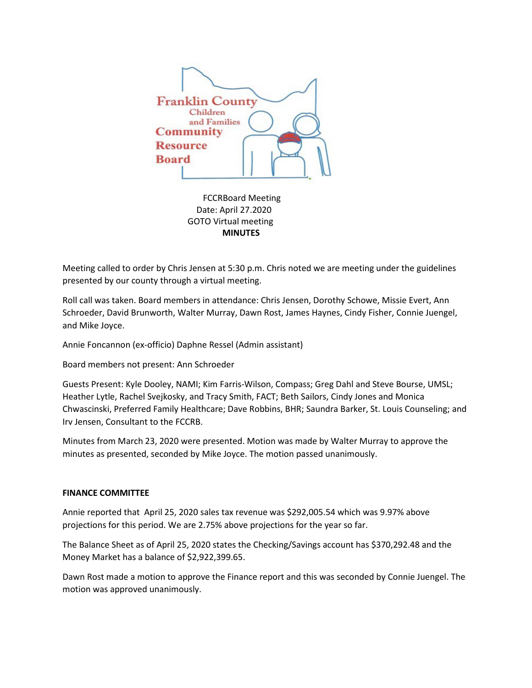

 FCCRBoard Meeting Date: April 27.2020 GOTO Virtual meeting  **MINUTES**

Meeting called to order by Chris Jensen at 5:30 p.m. Chris noted we are meeting under the guidelines presented by our county through a virtual meeting.

Roll call was taken. Board members in attendance: Chris Jensen, Dorothy Schowe, Missie Evert, Ann Schroeder, David Brunworth, Walter Murray, Dawn Rost, James Haynes, Cindy Fisher, Connie Juengel, and Mike Joyce.

Annie Foncannon (ex-officio) Daphne Ressel (Admin assistant)

Board members not present: Ann Schroeder

Guests Present: Kyle Dooley, NAMI; Kim Farris-Wilson, Compass; Greg Dahl and Steve Bourse, UMSL; Heather Lytle, Rachel Svejkosky, and Tracy Smith, FACT; Beth Sailors, Cindy Jones and Monica Chwascinski, Preferred Family Healthcare; Dave Robbins, BHR; Saundra Barker, St. Louis Counseling; and Irv Jensen, Consultant to the FCCRB.

Minutes from March 23, 2020 were presented. Motion was made by Walter Murray to approve the minutes as presented, seconded by Mike Joyce. The motion passed unanimously.

## **FINANCE COMMITTEE**

Annie reported that April 25, 2020 sales tax revenue was \$292,005.54 which was 9.97% above projections for this period. We are 2.75% above projections for the year so far.

The Balance Sheet as of April 25, 2020 states the Checking/Savings account has \$370,292.48 and the Money Market has a balance of \$2,922,399.65.

Dawn Rost made a motion to approve the Finance report and this was seconded by Connie Juengel. The motion was approved unanimously.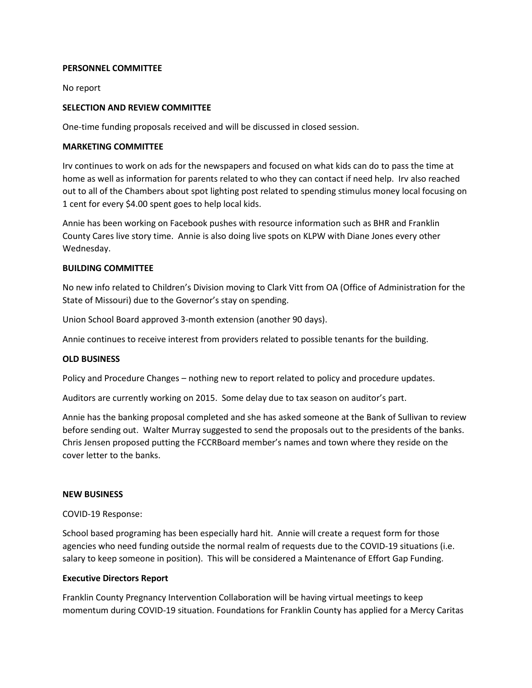# **PERSONNEL COMMITTEE**

No report

# **SELECTION AND REVIEW COMMITTEE**

One-time funding proposals received and will be discussed in closed session.

#### **MARKETING COMMITTEE**

Irv continues to work on ads for the newspapers and focused on what kids can do to pass the time at home as well as information for parents related to who they can contact if need help. Irv also reached out to all of the Chambers about spot lighting post related to spending stimulus money local focusing on 1 cent for every \$4.00 spent goes to help local kids.

Annie has been working on Facebook pushes with resource information such as BHR and Franklin County Cares live story time. Annie is also doing live spots on KLPW with Diane Jones every other Wednesday.

## **BUILDING COMMITTEE**

No new info related to Children's Division moving to Clark Vitt from OA (Office of Administration for the State of Missouri) due to the Governor's stay on spending.

Union School Board approved 3-month extension (another 90 days).

Annie continues to receive interest from providers related to possible tenants for the building.

# **OLD BUSINESS**

Policy and Procedure Changes – nothing new to report related to policy and procedure updates.

Auditors are currently working on 2015. Some delay due to tax season on auditor's part.

Annie has the banking proposal completed and she has asked someone at the Bank of Sullivan to review before sending out. Walter Murray suggested to send the proposals out to the presidents of the banks. Chris Jensen proposed putting the FCCRBoard member's names and town where they reside on the cover letter to the banks.

#### **NEW BUSINESS**

COVID-19 Response:

School based programing has been especially hard hit. Annie will create a request form for those agencies who need funding outside the normal realm of requests due to the COVID-19 situations (i.e. salary to keep someone in position). This will be considered a Maintenance of Effort Gap Funding.

## **Executive Directors Report**

Franklin County Pregnancy Intervention Collaboration will be having virtual meetings to keep momentum during COVID-19 situation. Foundations for Franklin County has applied for a Mercy Caritas